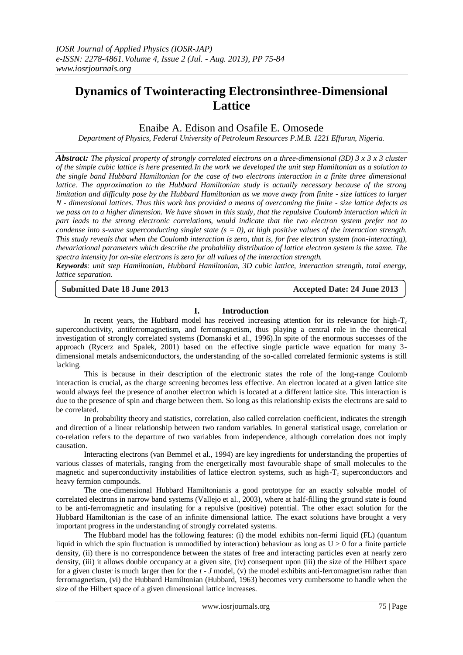# **Dynamics of Twointeracting Electronsinthree-Dimensional Lattice**

Enaibe A. Edison and Osafile E. Omosede

*Department of Physics, Federal University of Petroleum Resources P.M.B. 1221 Effurun, Nigeria.*

*Abstract: The physical property of strongly correlated electrons on a three-dimensional (3D) 3 x 3 x 3 cluster of the simple cubic lattice is here presented.In the work we developed the unit step Hamiltonian as a solution to the single band Hubbard Hamiltonian for the case of two electrons interaction in a finite three dimensional lattice. The approximation to the Hubbard Hamiltonian study is actually necessary because of the strong limitation and difficulty pose by the Hubbard Hamiltonian as we move away from finite - size lattices to larger N - dimensional lattices. Thus this work has provided a means of overcoming the finite - size lattice defects as we pass on to a higher dimension. We have shown in this study, that the repulsive Coulomb interaction which in part leads to the strong electronic correlations, would indicate that the two electron system prefer not to condense into s-wave superconducting singlet state*  $(s = 0)$ *, at high positive values of the interaction strength. This study reveals that when the Coulomb interaction is zero, that is, for free electron system (non-interacting), thevariational parameters which describe the probability distribution of lattice electron system is the same. The spectra intensity for on-site electrons is zero for all values of the interaction strength.*

*Keywords: unit step Hamiltonian, Hubbard Hamiltonian, 3D cubic lattice, interaction strength, total energy, lattice separation.*

**Submitted Date 18 June 2013 Accepted Date: 24 June 2013**

# **I. Introduction**

In recent years, the Hubbard model has received increasing attention for its relevance for high- $T_c$ superconductivity, antiferromagnetism, and ferromagnetism, thus playing a central role in the theoretical investigation of strongly correlated systems (Domanski et al., 1996).In spite of the enormous successes of the approach (Rycerz and Spalek, 2001) based on the effective single particle wave equation for many 3 dimensional metals andsemiconductors, the understanding of the so-called correlated fermionic systems is still lacking.

This is because in their description of the electronic states the role of the long-range Coulomb interaction is crucial, as the charge screening becomes less effective. An electron located at a given lattice site would always feel the presence of another electron which is located at a different lattice site. This interaction is due to the presence of spin and charge between them. So long as this relationship exists the electrons are said to be correlated.

In probability theory and statistics, correlation, also called correlation coefficient, indicates the strength and direction of a linear relationship between two random variables. In general statistical usage, correlation or co-relation refers to the departure of two variables from independence, although correlation does not imply causation.

Interacting electrons (van Bemmel et al., 1994) are key ingredients for understanding the properties of various classes of materials, ranging from the energetically most favourable shape of small molecules to the magnetic and superconductivity instabilities of lattice electron systems, such as high-T<sub>c</sub> superconductors and heavy fermion compounds.

The one-dimensional Hubbard Hamiltonianis a good prototype for an exactly solvable model of correlated electrons in narrow band systems (Vallejo et al., 2003), where at half-filling the ground state is found to be anti-ferromagnetic and insulating for a repulsive (positive) potential. The other exact solution for the Hubbard Hamiltonian is the case of an infinite dimensional lattice. The exact solutions have brought a very important progress in the understanding of strongly correlated systems.

The Hubbard model has the following features: (i) the model exhibits non-fermi liquid (FL) (quantum liquid in which the spin fluctuation is unmodified by interaction) behaviour as long as  $U > 0$  for a finite particle density, (ii) there is no correspondence between the states of free and interacting particles even at nearly zero density, (iii) it allows double occupancy at a given site, (iv) consequent upon (iii) the size of the Hilbert space for a given cluster is much larger then for the *t - J* model, (v) the model exhibits anti-ferromagnetism rather than ferromagnetism, (vi) the Hubbard Hamiltonian (Hubbard, 1963) becomes very cumbersome to handle when the size of the Hilbert space of a given dimensional lattice increases.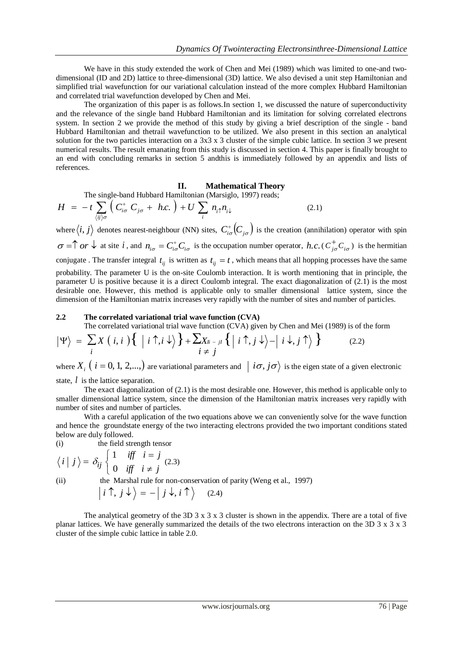We have in this study extended the work of Chen and Mei (1989) which was limited to one-and twodimensional (ID and 2D) lattice to three-dimensional (3D) lattice. We also devised a unit step Hamiltonian and simplified trial wavefunction for our variational calculation instead of the more complex Hubbard Hamiltonian and correlated trial wavefunction developed by Chen and Mei.

The organization of this paper is as follows.In section 1, we discussed the nature of superconductivity and the relevance of the single band Hubbard Hamiltonian and its limitation for solving correlated electrons system. In section 2 we provide the method of this study by giving a brief description of the single - band Hubbard Hamiltonian and thetrail wavefunction to be utilized. We also present in this section an analytical solution for the two particles interaction on a 3x3 x 3 cluster of the simple cubic lattice. In section 3 we present numerical results. The result emanating from this study is discussed in section 4. This paper is finally brought to an end with concluding remarks in section 5 andthis is immediately followed by an appendix and lists of references.

### **II. Mathematical Theory**

The single-band Hubbard Hamiltonian (Marsiglo, 1997) reads;

$$
H = -t \sum_{\langle ij \rangle \sigma} \left( C_{i\sigma}^+ C_{j\sigma} + h.c. \right) + U \sum_i n_{i\uparrow} n_{i\downarrow}
$$
 (2.1)

where  $\langle i, j \rangle$  denotes nearest-neighbour (NN) sites,  $C_{i\sigma}^+(C_{j\sigma})$  is the creation (annihilation) operator with spin  $\sigma = \int$  *or*  $\downarrow$  at site *i*, and  $n_{i\sigma} = C_{i\sigma}^{+}C_{i\sigma}$  is the occupation number operator, *h.c.*  $(C_{j\sigma}^{+}C_{i\sigma})$  is the hermitian conjugate. The transfer integral  $t_{ij}$  is written as  $t_{ij} = t$ , which means that all hopping processes have the same probability. The parameter U is the on-site Coulomb interaction. It is worth mentioning that in principle, the parameter U is positive because it is a direct Coulomb integral. The exact diagonalization of (2.1) is the most desirable one. However, this method is applicable only to smaller dimensional lattice system, since the dimension of the Hamiltonian matrix increases very rapidly with the number of sites and number of particles.

### **2.2 The correlated variational trial wave function (CVA)**

The correlated variational trial wave function (CVA) given by Chen and Mei (1989) is of the form

$$
|\Psi\rangle = \sum_{i} X(i, i) \{ |i \uparrow, i \downarrow \rangle \} + \sum_{i \neq j} X_{i-j} \{ |i \uparrow, j \downarrow \rangle - |i \downarrow, j \uparrow \rangle \}
$$
 (2.2)

where  $X_i$  (  $i = 0, 1, 2,...$  ) are variational parameters and  $\mid i\sigma, j\sigma \rangle$  is the eigen state of a given electronic state, *l* is the lattice separation.

The exact diagonalization of (2.1) is the most desirable one. However, this method is applicable only to smaller dimensional lattice system, since the dimension of the Hamiltonian matrix increases very rapidly with number of sites and number of particles.

With a careful application of the two equations above we can conveniently solve for the wave function and hence the groundstate energy of the two interacting electrons provided the two important conditions stated below are duly followed.

(i) the field strength tensor

$$
\langle i | j \rangle = \delta_{ij} \begin{cases} 1 & \text{iff} \quad i = j \\ 0 & \text{iff} \quad i \neq j \end{cases}
$$
 (2.3)

(ii) the Marshal rule for non-conservation of parity (Weng et al., 1997)

$$
\left|i\uparrow, j\downarrow\right\rangle = -\left|j\downarrow, i\uparrow\right\rangle \quad (2.4)
$$

The analytical geometry of the 3D  $3 \times 3 \times 3$  cluster is shown in the appendix. There are a total of five planar lattices. We have generally summarized the details of the two electrons interaction on the 3D 3 x 3 x 3 cluster of the simple cubic lattice in table 2.0.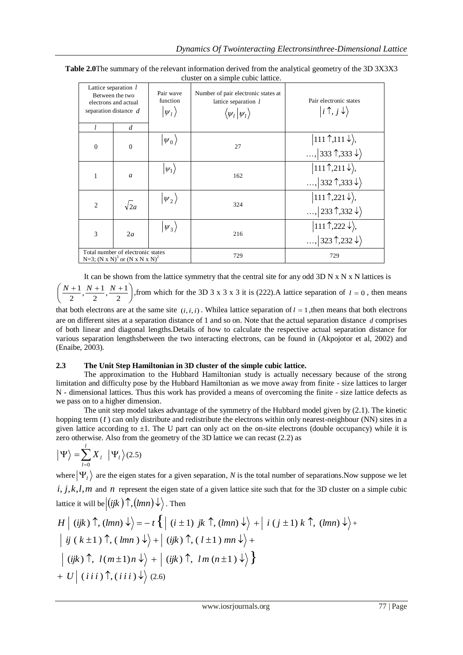| Lattice separation $l$<br>Between the two<br>electrons and actual<br>separation distance $d$ |                | Pair wave<br>function<br>$ \psi_{l}\rangle$ | Number of pair electronic states at<br>lattice separation $l$<br>$\langle \psi_l   \psi_l \rangle$ | Pair electronic states<br>$ i \uparrow, j \downarrow \rangle$                                   |  |
|----------------------------------------------------------------------------------------------|----------------|---------------------------------------------|----------------------------------------------------------------------------------------------------|-------------------------------------------------------------------------------------------------|--|
|                                                                                              | $\overline{d}$ |                                             |                                                                                                    |                                                                                                 |  |
| $\Omega$                                                                                     | $\theta$       | $ \psi_0\rangle$                            | 27                                                                                                 | $ 111 \uparrow, 111 \downarrow \rangle,$<br>$,$ 333 1, 333 $\downarrow$                         |  |
|                                                                                              | $\mathfrak a$  | $\ket{\psi_1}$                              | 162                                                                                                | $ 111 \uparrow, 211 \downarrow \rangle$ ,<br>$,$ 332 1,333 $\downarrow$                         |  |
| $\overline{2}$                                                                               | $\sqrt{2}a$    | $ \psi_{2}\rangle$                          | 324                                                                                                | $ 111 \uparrow, 221 \downarrow \rangle$ ,<br>$\therefore  233 \uparrow, 332 \downarrow \rangle$ |  |
| 3                                                                                            | 2a             | $ \psi_3\rangle$                            | 216                                                                                                | $ 111 \overline{1,222 \downarrow} \rangle$ ,<br>,   323 $\hat{1}, 232 \downarrow \rangle$       |  |
| Total number of electronic states<br>N=3; $(N x N)^3$ or $(N x N x N)^2$                     |                |                                             | 729                                                                                                | 729                                                                                             |  |

**Table 2.0**The summary of the relevant information derived from the analytical geometry of the 3D 3X3X3 cluster on a simple cubic lattice.

It can be shown from the lattice symmetry that the central site for any odd  $3D N x N x N$  lattices is  $\int$  $\left(\frac{N+1}{2},\frac{N+1}{2},\frac{N+1}{2}\right)$  $\left(N+1\right)N+1\right)N+$ 2  $\frac{+1}{2}$ ,  $\frac{N+1}{2}$  $\frac{+1}{2}$ ,  $\frac{N+1}{2}$  $\left(\frac{N+1}{2}, \frac{N+1}{2}, \frac{N+1}{2}\right)$ , from which for the 3D 3 x 3 x 3 it is (222). A lattice separation of  $l = 0$ , then means

that both electrons are at the same site  $(i, i, i)$ . Whilea lattice separation of  $l = 1$ , then means that both electrons are on different sites at a separation distance of 1 and so on. Note that the actual separation distance *d* comprises of both linear and diagonal lengths.Details of how to calculate the respective actual separation distance for various separation lengthsbetween the two interacting electrons, can be found in (Akpojotor et al, 2002) and (Enaibe, 2003).

# **2.3 The Unit Step Hamiltonian in 3D cluster of the simple cubic lattice.**

The approximation to the Hubbard Hamiltonian study is actually necessary because of the strong limitation and difficulty pose by the Hubbard Hamiltonian as we move away from finite - size lattices to larger N - dimensional lattices. Thus this work has provided a means of overcoming the finite - size lattice defects as we pass on to a higher dimension.

The unit step model takes advantage of the symmetry of the Hubbard model given by (2.1). The kinetic hopping term (t) can only distribute and redistribute the electrons within only nearest-neighbour (NN) sites in a given lattice according to  $\pm 1$ . The U part can only act on the on-site electrons (double occupancy) while it is zero otherwise. Also from the geometry of the 3D lattice we can recast (2.2) as

$$
|\Psi\rangle = \sum_{l=0}^{l} X_l | \Psi_l \rangle (2.5)
$$

where  $|\Psi_i\rangle$  are the eigen states for a given separation, *N* is the total number of separations. Now suppose we let  $i, j, k, l, m$  and  $n$  represent the eigen state of a given lattice site such that for the 3D cluster on a simple cubic lattice it will be  $|(ijk) \uparrow, (lmn) \downarrow \rangle$  . Then

$$
H | (ijk) \uparrow, (lmn) \downarrow \rangle = -t \{ | (i \pm 1) jk \uparrow, (lmn) \downarrow \rangle + | i (j \pm 1) k \uparrow, (lmn) \downarrow \rangle + | i (k \pm 1) \uparrow, (lmn) \downarrow \rangle + | (ijk) \uparrow, (l \pm 1) mn \downarrow \rangle + | (ijk) \uparrow, l(m \pm 1) n \downarrow \rangle + | (ijk) \uparrow, lm(n \pm 1) \downarrow \rangle \}
$$
  
+  $U | (iii) \uparrow, (iii) \downarrow \rangle (2.6)$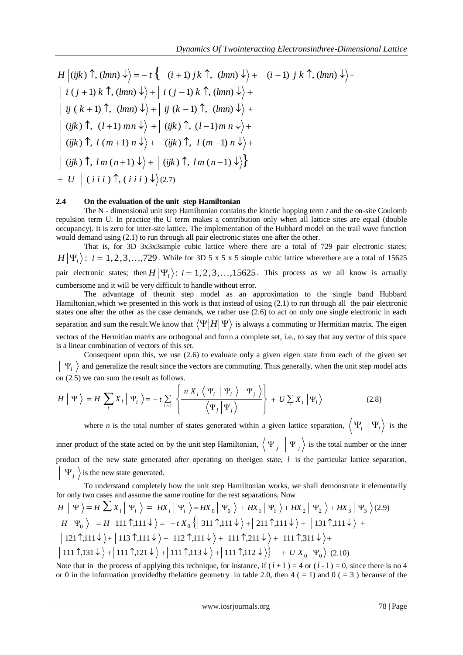$$
H |(ijk) \uparrow, (lmn) \downarrow\rangle = -t \{ | (i+1)jk \uparrow, (lmn) \downarrow\rangle + | (i-1)jk \uparrow, (lmn) \downarrow\rangle + | (i(j+1)k \uparrow, (lmn) \downarrow\rangle + | (j(j+1)k \uparrow, (lmn) \downarrow\rangle + | (j(k+1) \uparrow, (lmn) \downarrow\rangle + | (jk)(k-1) \uparrow, (lmn) \downarrow\rangle + | (jjk) \uparrow, (l+1)mn \downarrow\rangle + | (jjk) \uparrow, (l-1)m n \downarrow\rangle + | (jjk) \uparrow, l (m-1) n \downarrow\rangle + | (jjk) \uparrow, lm(n+1) \downarrow\rangle + | (jjk) \uparrow, lm(n-1) \downarrow\rangle + | (jjk) \uparrow, lm(n-1) \downarrow\rangle + U | (iii) \uparrow, (iii) \uparrow, (iii) \downarrow\rangle (2.7)
$$

### **2.4 On the evaluation of the unit step Hamiltonian**

The N - dimensional unit step Hamiltonian contains the kinetic hopping term *t* and the on-site Coulomb repulsion term U. In practice the U term makes a contribution only when all lattice sites are equal (double occupancy). It is zero for inter-site lattice. The implementation of the Hubbard model on the trail wave function would demand using  $(2.1)$  to run through all pair electronic states one after the other.

That is, for 3D 3x3x3simple cubic lattice where there are a total of 729 pair electronic states;  $H|\Psi_i\rangle$ :  $l = 1, 2, 3, ..., 729$ . While for 3D 5 x 5 x 5 simple cubic lattice where there are a total of 15625 pair electronic states; then  $H|\Psi_i\rangle$ :  $i = 1, 2, 3, ..., 15625$ . This process as we all know is actually cumbersome and it will be very difficult to handle without error.

The advantage of theunit step model as an approximation to the single band Hubbard Hamiltonian,which we presented in this work is that instead of using (2.1) to run through all the pair electronic states one after the other as the case demands, we rather use (2.6) to act on only one single electronic in each separation and sum the result. We know that  $\langle \Psi | H | \Psi \rangle$  is always a commuting or Hermitian matrix. The eigen vectors of the Hermitian matrix are orthogonal and form a complete set, i.e., to say that any vector of this space is a linear combination of vectors of this set.

Consequent upon this, we use (2.6) to evaluate only a given eigen state from each of the given set  $\Psi_l$  and generalize the result since the vectors are commuting. Thus generally, when the unit step model acts on (2.5) we can sum the result as follows.

$$
H \mid \Psi \rangle = H \sum_{l} X_{l} \mid \Psi_{l} \rangle = -t \sum_{(j)} \left\{ \frac{n X_{l} \left\langle \Psi_{l} \mid \Psi_{l} \right\rangle \middle| \Psi_{j} \right\}}{\left\langle \Psi_{j} \middle| \Psi_{j} \right\rangle} + U \sum_{i} X_{l} \left| \Psi_{l} \right\rangle \tag{2.8}
$$

where *n* is the total number of states generated within a given lattice separation,  $\langle \Psi_l | \Psi_l \rangle$  is the inner product of the state acted on by the unit step Hamiltonian,  $\langle \Psi_j | \Psi_j \rangle$  is the total number or the inner product of the new state generated after operating on theeigen state, *l* is the particular lattice separation,  $\Psi_j$  is the new state generated.

To understand completely how the unit step Hamiltonian works, we shall demonstrate it elementarily for only two cases and assume the same routine for the rest separations. Now  $H \vert \Psi \rangle = H \sum X_i \vert \Psi_i \rangle = H X_i \vert \Psi_i \rangle = H X_0 \vert \Psi_0 \rangle + H X_1 \vert \Psi_1 \rangle + H X_2 \vert \Psi_2 \rangle + H X_3 \vert \Psi_3 \rangle (2.9)$  $H \Big | \Psi_{0} \ \Big \rangle \ \ = H \Big | \ 111 \ \, \hat{\ } ,111 \ \big \rangle = \ \ - \ t \ X_{0} \ \big \{ \Big | \ 311 \ \, \hat{\ } ,111 \ \big \rangle \ + \Big | \ 211 \ \, \hat{\ } ,111 \ \big \rangle \ + \ \Big | \ 131 \ \, \hat{\ } ,111 \ \big \rangle \ \ +$  $121$   $\uparrow$ ,111  $\downarrow$   $\rangle$  +  $|$  113  $\uparrow$ ,111  $\downarrow$   $\rangle$  +  $|$  112  $\uparrow$ ,111  $\downarrow$   $\rangle$  +  $|$  111  $\uparrow$ ,211  $\downarrow$   $\rangle$  +  $|$  111  $\uparrow$ ,311  $\downarrow$   $\rangle$  + 111  $\uparrow$ ,131  $\downarrow$   $\rangle$  + | 111  $\uparrow$ ,121  $\downarrow$   $\rangle$  + | 111  $\uparrow$ ,113  $\downarrow$   $\rangle$  + | 111  $\uparrow$ ,112  $\downarrow$   $\rangle$  $\rangle$  +  $U X_0$  | $\Psi_0$   $\rangle$  (2.10)

Note that in the process of applying this technique, for instance, if  $(i + 1) = 4$  or  $(i - 1) = 0$ , since there is no 4 or 0 in the information provided by the lattice geometry in table 2.0, then 4 ( $= 1$ ) and 0 ( $= 3$ ) because of the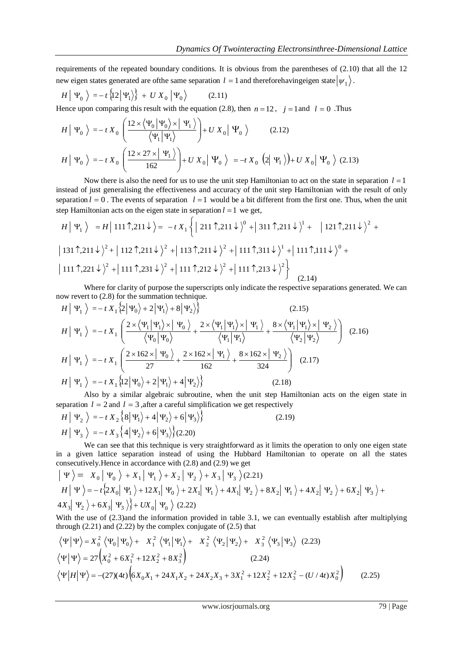requirements of the repeated boundary conditions. It is obvious from the parentheses of (2.10) that all the 12 new eigen states generated are of the same separation  $l = 1$  and therefore having eigen state  $|\psi_1\rangle$ .

$$
H \mid \Psi_0 \rangle = -t \{ 12 | \Psi_1 \rangle \} + U X_0 | \Psi_0 \rangle \qquad (2.11)
$$

Hence upon comparing this result with the equation (2.8), then  $n = 12$ ,  $j = 1$  and  $l = 0$ . Thus

$$
H \mid \Psi_0 \rangle = -t X_0 \left( \frac{12 \times \langle \Psi_0 | \Psi_0 \rangle \times | \Psi_1 \rangle}{\langle \Psi_1 | \Psi_1 \rangle} \right) + U X_0 \mid \Psi_0 \rangle \qquad (2.12)
$$
  

$$
H \mid \Psi_0 \rangle = -t X_0 \left( \frac{12 \times 27 \times | \Psi_1 \rangle}{162} \right) + U X_0 \mid \Psi_0 \rangle = -t X_0 \left( 2 | \Psi_1 \rangle \right) + U X_0 \mid \Psi_0 \rangle \quad (2.13)
$$

Now there is also the need for us to use the unit step Hamiltonian to act on the state in separation  $l = 1$ instead of just generalising the effectiveness and accuracy of the unit step Hamiltonian with the result of only separation  $l = 0$ . The events of separation  $l = 1$  would be a bit different from the first one. Thus, when the unit step Hamiltonian acts on the eigen state in separation  $l = 1$  we get,

$$
H \mid \Psi_1 \rangle = H \mid 111 \uparrow, 211 \downarrow \rangle = -t X_1 \left\{ \mid 211 \uparrow, 211 \downarrow \rangle^0 + \mid 311 \uparrow, 211 \downarrow \rangle^1 + \mid 121 \uparrow, 211 \downarrow \rangle^2 + \mid 131 \uparrow, 211 \downarrow \rangle^2 + \mid 112 \uparrow, 211 \downarrow \rangle^2 + \mid 113 \uparrow, 211 \downarrow \rangle^2 + \mid 111 \uparrow, 311 \downarrow \rangle^1 + \mid 111 \uparrow, 111 \downarrow \rangle^0 + \mid 111 \uparrow, 221 \downarrow \rangle^2 + \mid 111 \uparrow, 231 \downarrow \rangle^2 + \mid 111 \uparrow, 212 \downarrow \rangle^2 + \mid 111 \uparrow, 213 \downarrow \rangle^2 \right\} \tag{2.14}
$$

Where for clarity of purpose the superscripts only indicate the respective separations generated. We can now revert to (2.8) for the summation technique.

$$
H \mid \Psi_{1} \rangle = -t X_{1} \{2 | \Psi_{0} \rangle + 2 | \Psi_{1} \rangle + 8 | \Psi_{2} \rangle \}
$$
(2.15)  
\n
$$
H \mid \Psi_{1} \rangle = -t X_{1} \left( \frac{2 \times \langle \Psi_{1} | \Psi_{1} \rangle \times | \Psi_{0} \rangle}{\langle \Psi_{0} | \Psi_{0} \rangle} + \frac{2 \times \langle \Psi_{1} | \Psi_{1} \rangle \times | \Psi_{1} \rangle}{\langle \Psi_{1} | \Psi_{1} \rangle} + \frac{8 \times \langle \Psi_{1} | \Psi_{1} \rangle \times | \Psi_{2} \rangle}{\langle \Psi_{2} | \Psi_{2} \rangle} \right) (2.16)
$$
  
\n
$$
H \mid \Psi_{1} \rangle = -t X_{1} \left( \frac{2 \times 162 \times | \Psi_{0} \rangle}{27} + \frac{2 \times 162 \times | \Psi_{1} \rangle}{162} + \frac{8 \times 162 \times | \Psi_{2} \rangle}{324} \right) (2.17)
$$
  
\n
$$
H \mid \Psi_{1} \rangle = -t X_{1} \{ 12 | \Psi_{0} \rangle + 2 | \Psi_{1} \rangle + 4 | \Psi_{2} \} \}
$$
(2.18)

Also by a similar algebraic subroutine, when the unit step Hamiltonian acts on the eigen state in separation  $l = 2$  and  $l = 3$ , after a careful simplification we get respectively

$$
H \mid \Psi_2 \rangle = -t X_2 \{ 8 | \Psi_1 \rangle + 4 | \Psi_2 \rangle + 6 | \Psi_3 \rangle \}
$$
  
\n
$$
H \mid \Psi_3 \rangle = -t X_3 \{ 4 | \Psi_2 \rangle + 6 | \Psi_3 \rangle \} (2.20)
$$
  
\n(2.19)

We can see that this technique is very straightforward as it limits the operation to only one eigen state in a given lattice separation instead of using the Hubbard Hamiltonian to operate on all the states consecutively.Hence in accordance with (2.8) and (2.9) we get

$$
\begin{aligned}\n\left| \Psi \right\rangle &= X_0 \left| \Psi_0 \right\rangle + X_1 \left| \Psi_1 \right\rangle + X_2 \left| \Psi_2 \right\rangle + X_3 \left| \Psi_3 \right\rangle (2.21) \\
H \left| \Psi \right\rangle &= -t \left\{ 2X_0 \left| \Psi_1 \right\rangle + 12X_1 \left| \Psi_0 \right\rangle + 2X_1 \left| \Psi_1 \right\rangle + 4X_1 \left| \Psi_2 \right\rangle + 8X_2 \left| \Psi_1 \right\rangle + 4X_2 \left| \Psi_2 \right\rangle + 6X_2 \left| \Psi_3 \right\rangle + \\
4X_3 \left| \Psi_2 \right\rangle + 6X_3 \left| \Psi_3 \right\rangle + UX_0 \left| \Psi_0 \right\rangle (2.22)\n\end{aligned}
$$

With the use of (2.3)and the information provided in table 3.1, we can eventually establish after multiplying through  $(2.21)$  and  $(2.22)$  by the complex conjugate of  $(2.5)$  that

$$
\langle \Psi | \Psi \rangle = X_0^2 \langle \Psi_0 | \Psi_0 \rangle + X_1^2 \langle \Psi_1 | \Psi_1 \rangle + X_2^2 \langle \Psi_2 | \Psi_2 \rangle + X_3^2 \langle \Psi_3 | \Psi_3 \rangle \quad (2.23)
$$
  

$$
\langle \Psi | \Psi \rangle = 27 \left( X_0^2 + 6X_1^2 + 12X_2^2 + 8X_3^2 \right) \qquad (2.24)
$$
  

$$
\langle \Psi | H | \Psi \rangle = -(27)(4t) \left( 6X_0 X_1 + 24X_1 X_2 + 24X_2 X_3 + 3X_1^2 + 12X_2^2 + 12X_3^2 - (U/4t)X_0^2 \right) \qquad (2.25)
$$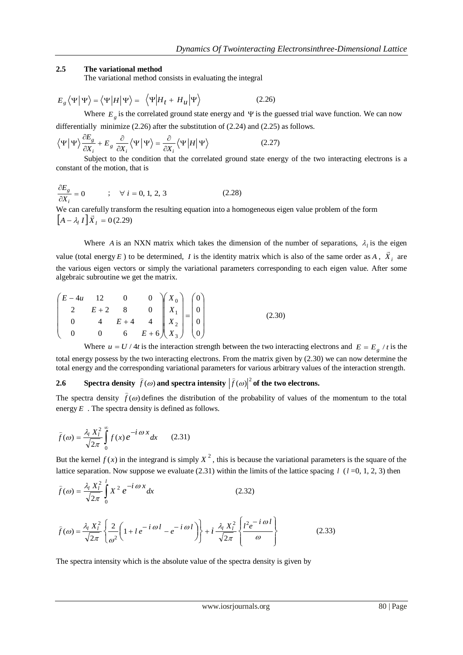## **2.5 The variational method**

The variational method consists in evaluating the integral

$$
E_g \langle \Psi | \Psi \rangle = \langle \Psi | H | \Psi \rangle = \langle \Psi | H_t + H_u | \Psi \rangle \tag{2.26}
$$

Where  $E_g$  is the correlated ground state energy and  $\Psi$  is the guessed trial wave function. We can now differentially minimize (2.26) after the substitution of (2.24) and (2.25) as follows.

$$
\langle \Psi | \Psi \rangle \frac{\partial E_g}{\partial X_i} + E_g \frac{\partial}{\partial X_i} \langle \Psi | \Psi \rangle = \frac{\partial}{\partial X_i} \langle \Psi | H | \Psi \rangle \tag{2.27}
$$

Subject to the condition that the correlated ground state energy of the two interacting electrons is a constant of the motion, that is

$$
\frac{\partial E_g}{\partial X_i} = 0 \qquad ; \quad \forall \ i = 0, 1, 2, 3 \tag{2.28}
$$

We can carefully transform the resulting equation into a homogeneous eigen value problem of the form  $\left[ A - \lambda_l I \right] \vec{X}_l = 0$  (2.29)

Where A is an NXN matrix which takes the dimension of the number of separations,  $\lambda_i$  is the eigen value (total energy E) to be determined, I is the identity matrix which is also of the same order as A,  $\vec{X}_i$  are the various eigen vectors or simply the variational parameters corresponding to each eigen value. After some algebraic subroutine we get the matrix.

$$
\begin{pmatrix}\nE - 4u & 12 & 0 & 0 \\
2 & E + 2 & 8 & 0 \\
0 & 4 & E + 4 & 4 \\
0 & 0 & 6 & E + 6\n\end{pmatrix}\n\begin{pmatrix}\nX_0 \\
X_1 \\
X_2 \\
X_3\n\end{pmatrix} =\n\begin{pmatrix}\n0 \\
0 \\
0 \\
0 \\
0\n\end{pmatrix}
$$
\n(2.30)

Where  $u = U/4t$  is the interaction strength between the two interacting electrons and  $E = E_g/t$  is the total energy possess by the two interacting electrons. From the matrix given by (2.30) we can now determine the total energy and the corresponding variational parameters for various arbitrary values of the interaction strength.

#### **2.6 Spectra density**  $f(\omega)$  $\widehat{f}(\omega)$  and spectra intensity  $\bigl|\widehat{f}(\omega)\bigr|^2$  of the two electrons.

The spectra density  $f(\omega)$  $\hat{f}(\omega)$  defines the distribution of the probability of values of the momentum to the total energy  $E$ . The spectra density is defined as follows.

$$
\hat{f}(\omega) = \frac{\lambda_l X_l^2}{\sqrt{2\pi}} \int_0^\infty f(x) e^{-i\omega x} dx \qquad (2.31)
$$

But the kernel  $f(x)$  in the integrand is simply  $X^2$ , this is because the variational parameters is the square of the lattice separation. Now suppose we evaluate  $(2.31)$  within the limits of the lattice spacing  $l$  ( $l = 0, 1, 2, 3$ ) then

$$
\widehat{f}(\omega) = \frac{\lambda_l X_l^2}{\sqrt{2\pi}} \int_0^l X^2 e^{-i\omega x} dx
$$
\n(2.32)

$$
\hat{f}(\omega) = \frac{\lambda_l X_l^2}{\sqrt{2\pi}} \left\{ \frac{2}{\omega^2} \left( 1 + l e^{-i\omega l} - e^{-i\omega l} \right) \right\} + i \frac{\lambda_l X_l^2}{\sqrt{2\pi}} \left\{ \frac{l^2 e^{-i\omega l}}{\omega} \right\}
$$
(2.33)

The spectra intensity which is the absolute value of the spectra density is given by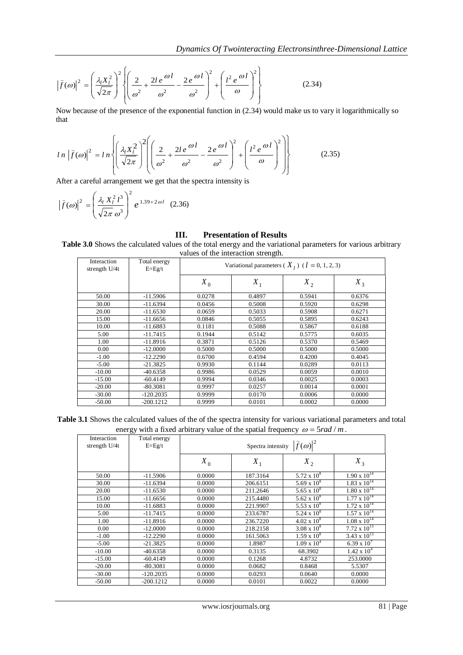$$
\left|\hat{f}(\omega)\right|^2 = \left(\frac{\lambda_l X_l^2}{\sqrt{2\pi}}\right)^2 \left\{ \left(\frac{2}{\omega^2} + \frac{2l e^{\omega l}}{\omega^2} - \frac{2e^{\omega l}}{\omega^2}\right)^2 + \left(\frac{l^2 e^{\omega l}}{\omega}\right)^2 \right\}
$$
(2.34)

Now because of the presence of the exponential function in (2.34) would make us to vary it logarithmically so that

$$
ln \left| \hat{f}(\omega) \right|^2 = ln \left\{ \left( \frac{\lambda_l X_l^2}{\sqrt{2\pi}} \right)^2 \left( \left( \frac{2}{\omega^2} + \frac{2le^{\omega l}}{\omega^2} - \frac{2e^{\omega l}}{\omega^2} \right)^2 + \left( \frac{l^2 e^{\omega l}}{\omega} \right)^2 \right) \right\}
$$
(2.35)

After a careful arrangement we get that the spectra intensity is

$$
\left|\hat{f}(\omega)\right|^2 = \left(\frac{\lambda_l X_l^2 l^3}{\sqrt{2\pi} \omega^3}\right)^2 e^{1.39 + 2\omega l} \quad (2.36)
$$

## **III. Presentation of Results**

**Table 3.0** Shows the calculated values of the total energy and the variational parameters for various arbitrary values of the interaction strength.

| Interaction<br>strength $U/4t$ | Total energy<br>$E=Eq/t$ | o<br>Variational parameters ( $X_i$ ) ( $l = 0, 1, 2, 3$ ) |        |         |        |  |
|--------------------------------|--------------------------|------------------------------------------------------------|--------|---------|--------|--|
|                                |                          | $X_0$                                                      | $X_1$  | $X_{2}$ | $X_3$  |  |
| 50.00                          | $-11.5906$               | 0.0278                                                     | 0.4897 | 0.5941  | 0.6376 |  |
| 30.00                          | $-11.6394$               | 0.0456                                                     | 0.5008 | 0.5920  | 0.6298 |  |
| 20.00                          | $-11.6530$               | 0.0659                                                     | 0.5033 | 0.5908  | 0.6271 |  |
| 15.00                          | $-11.6656$               | 0.0846                                                     | 0.5055 | 0.5895  | 0.6243 |  |
| 10.00                          | $-11.6883$               | 0.1181                                                     | 0.5088 | 0.5867  | 0.6188 |  |
| 5.00                           | $-11.7415$               | 0.1944                                                     | 0.5142 | 0.5775  | 0.6035 |  |
| 1.00                           | $-11.8916$               | 0.3871                                                     | 0.5126 | 0.5370  | 0.5469 |  |
| 0.00                           | $-12,0000$               | 0.5000                                                     | 0.5000 | 0.5000  | 0.5000 |  |
| $-1.00$                        | $-12.2290$               | 0.6700                                                     | 0.4594 | 0.4200  | 0.4045 |  |
| $-5.00$                        | $-21.3825$               | 0.9930                                                     | 0.1144 | 0.0289  | 0.0113 |  |
| $-10.00$                       | $-40.6358$               | 0.9986                                                     | 0.0529 | 0.0059  | 0.0010 |  |
| $-15.00$                       | $-60.4149$               | 0.9994                                                     | 0.0346 | 0.0025  | 0.0003 |  |
| $-20.00$                       | $-80.3081$               | 0.9997                                                     | 0.0257 | 0.0014  | 0.0001 |  |
| $-30.00$                       | $-120.2035$              | 0.9999                                                     | 0.0170 | 0.0006  | 0.0000 |  |
| $-50.00$                       | $-200.1212$              | 0.9999                                                     | 0.0101 | 0.0002  | 0.0000 |  |

**Table 3.1** Shows the calculated values of the of the spectra intensity for various variational parameters and total energy with a fixed arbitrary value of the spatial frequency  $\omega = 5rad/m$ .

| Interaction<br>strength $U/4t$ | 05<br>Total energy<br>$E=Eq/t$ | Spectra intensity $ \hat{f}(\omega) ^2$ |          |                      |                       |  |
|--------------------------------|--------------------------------|-----------------------------------------|----------|----------------------|-----------------------|--|
|                                |                                | $X_0$                                   | $X_1$    | $X_2$                | $X_3$                 |  |
| 50.00                          | $-11.5906$                     | 0.0000                                  | 187.3164 | $5.72 \times 10^8$   | $1.90 \times 10^{14}$ |  |
| 30.00                          | $-11.6394$                     | 0.0000                                  | 206.6151 | $5.69 \times 10^8$   | $1.83 \times 10^{14}$ |  |
| 20.00                          | $-11.6530$                     | 0.0000                                  | 211.2646 | 5.65 x $10^8$        | $1.80 \times 10^{14}$ |  |
| 15.00                          | $-11.6656$                     | 0.0000                                  | 215.4480 | $5.62 \times 10^8$   | $1.77 \times 10^{14}$ |  |
| 10.00                          | $-11.6883$                     | 0.0000                                  | 221.9907 | $5.53 \times 10^8$   | $1.72 \times 10^{14}$ |  |
| 5.00                           | $-11.7415$                     | 0.0000                                  | 233.6787 | $5.24 \times 10^8$   | $1.57 \times 10^{14}$ |  |
| 1.00                           | $-11.8916$                     | 0.0000                                  | 236.7220 | $4.02 \times 10^8$   | $1.08 \times 10^{14}$ |  |
| 0.00                           | $-12,0000$                     | 0.0000                                  | 218.2158 | $3.08 \times 10^8$   | $7.72 \times 10^{13}$ |  |
| $-1.00$                        | $-12.2290$                     | 0.0000                                  | 161.5063 | $1.59 \times 10^8$   | $3.43 \times 10^{13}$ |  |
| $-5.00$                        | $-21.3825$                     | 0.0000                                  | 1.8987   | $1.09 \times 10^{4}$ | 6.39 x $10^{7}$       |  |
| $-10.00$                       | $-40.6358$                     | 0.0000                                  | 0.3135   | 68.3902              | $1.42 \times 10^{4}$  |  |
| $-15.00$                       | $-60.4149$                     | 0.0000                                  | 0.1268   | 4.8732               | 253,0000              |  |
| $-20.00$                       | $-80.3081$                     | 0.0000                                  | 0.0682   | 0.8468               | 5.5307                |  |
| $-30.00$                       | $-120.2035$                    | 0.0000                                  | 0.0293   | 0.0640               | 0.0000                |  |
| $-50.00$                       | $-200.1212$                    | 0.0000                                  | 0.0101   | 0.0022               | 0.0000                |  |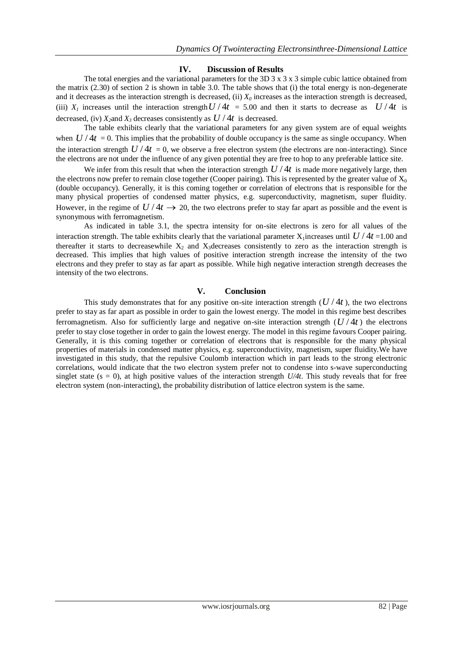# **IV. Discussion of Results**

The total energies and the variational parameters for the 3D 3 x 3 x 3 simple cubic lattice obtained from the matrix (2.30) of section 2 is shown in table 3.0. The table shows that (i) the total energy is non-degenerate and it decreases as the interaction strength is decreased, (ii)  $X_0$  increases as the interaction strength is decreased, (iii)  $X_I$  increases until the interaction strength  $U/4t = 5.00$  and then it starts to decrease as  $U/4t$  is decreased, (iv)  $X_2$ and  $X_3$  decreases consistently as  $U/4t$  is decreased.

The table exhibits clearly that the variational parameters for any given system are of equal weights when  $U/4t = 0$ . This implies that the probability of double occupancy is the same as single occupancy. When the interaction strength  $U/4t = 0$ , we observe a free electron system (the electrons are non-interacting). Since the electrons are not under the influence of any given potential they are free to hop to any preferable lattice site.

We infer from this result that when the interaction strength  $U/4t$  is made more negatively large, then the electrons now prefer to remain close together (Cooper pairing). This is represented by the greater value of  $X_0$ (double occupancy). Generally, it is this coming together or correlation of electrons that is responsible for the many physical properties of condensed matter physics, e.g. superconductivity, magnetism, super fluidity. However, in the regime of  $U/4t \rightarrow 20$ , the two electrons prefer to stay far apart as possible and the event is synonymous with ferromagnetism.

As indicated in table 3.1, the spectra intensity for on-site electrons is zero for all values of the interaction strength. The table exhibits clearly that the variational parameter  $X_i$  increases until  $U/4t = 1.00$  and thereafter it starts to decreasewhile  $X_2$  and  $X_3$ decreases consistently to zero as the interaction strength is decreased. This implies that high values of positive interaction strength increase the intensity of the two electrons and they prefer to stay as far apart as possible. While high negative interaction strength decreases the intensity of the two electrons.

## **V. Conclusion**

This study demonstrates that for any positive on-site interaction strength  $(U/4t)$ , the two electrons prefer to stay as far apart as possible in order to gain the lowest energy. The model in this regime best describes ferromagnetism. Also for sufficiently large and negative on-site interaction strength  $(U/4t)$  the electrons prefer to stay close together in order to gain the lowest energy. The model in this regime favours Cooper pairing. Generally, it is this coming together or correlation of electrons that is responsible for the many physical properties of materials in condensed matter physics, e.g. superconductivity, magnetism, super fluidity.We have investigated in this study, that the repulsive Coulomb interaction which in part leads to the strong electronic correlations, would indicate that the two electron system prefer not to condense into s-wave superconducting singlet state ( $s = 0$ ), at high positive values of the interaction strength  $U/4t$ . This study reveals that for free electron system (non-interacting), the probability distribution of lattice electron system is the same.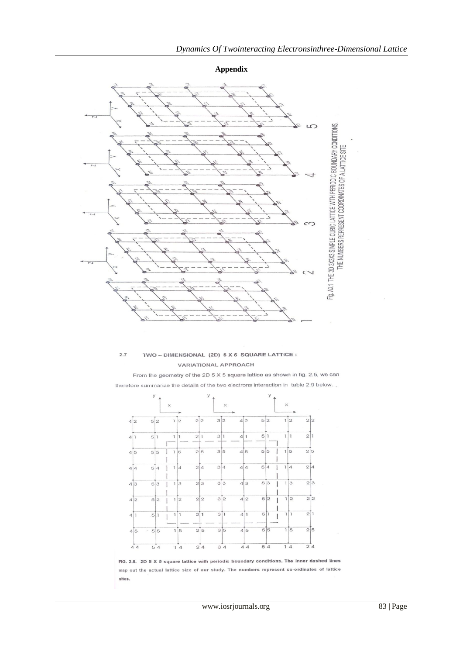

#### $2.7$ TWO -- DIMENSIONAL (2D) 5 X 5 SQUARE LATTICE : **VARIATIONAL APPROACH**

From the geometry of the 2D 5 X 5 square lattice as shown in fig. 2.5, we can therefore summarize the details of the two electrons interaction in table 2.9 below.



FIG. 2.5. 2D 5 X 5 square lattice with periodic boundary conditions. The inner dashed lines map out the actual lattice size of our study. The numbers represent co-ordinates of lattice sites.